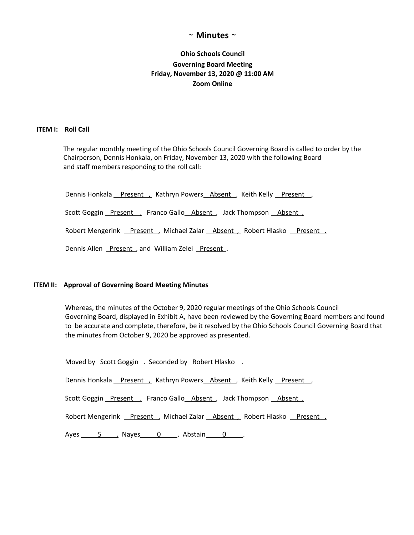## **~ Minutes ~**

# **Ohio Schools Council Governing Board Meeting Friday, November 13, 2020 @ 11:00 AM Zoom Online**

#### **ITEM I: Roll Call**

The regular monthly meeting of the Ohio Schools Council Governing Board is called to order by the Chairperson, Dennis Honkala, on Friday, November 13, 2020 with the following Board and staff members responding to the roll call:

Dennis Honkala Present , Kathryn Powers Absent , Keith Kelly Present ,

Scott Goggin Present , Franco Gallo Absent, Jack Thompson Absent,

Robert Mengerink Present , Michael Zalar Absent , Robert Hlasko Present .

Dennis Allen Present, and William Zelei Present.

#### **ITEM II: Approval of Governing Board Meeting Minutes**

Whereas, the minutes of the October 9, 2020 regular meetings of the Ohio Schools Council Governing Board, displayed in Exhibit A, have been reviewed by the Governing Board members and found to be accurate and complete, therefore, be it resolved by the Ohio Schools Council Governing Board that the minutes from October 9, 2020 be approved as presented.

Moved by Scott Goggin . Seconded by Robert Hlasko. Dennis Honkala Present , Kathryn Powers Absent , Keith Kelly Present , Scott Goggin Present , Franco Gallo Absent, Jack Thompson Absent, Robert Mengerink Present , Michael Zalar Absent , Robert Hlasko Present . Ayes 5 . Nayes 0 . Abstain 0 .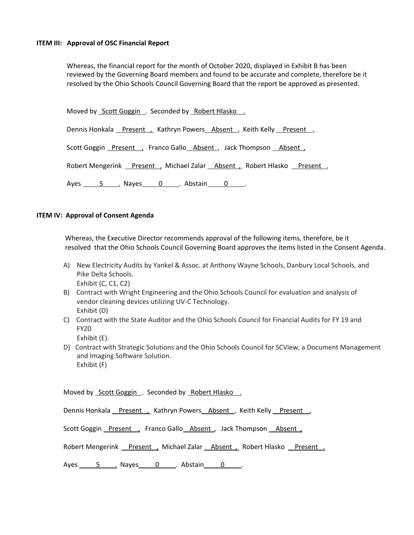#### **ITEM III: Approval of OSC Financial Report**

Whereas, the financial report for the month of October 2020, displayed in Exhibit B has been reviewed by the Governing Board members and found to be accurate and complete, therefore be it resolved by the Ohio Schools Council Governing Board that the report be approved as presented.

Moved by Scott Goggin . Seconded by Robert Hlasko.

Dennis Honkala Present , Kathryn Powers Absent , Keith Kelly Present ,

Scott Goggin Present , Franco Gallo Absent , Jack Thompson Absent ,

Robert Mengerink Present , Michael Zalar Absent , Robert Hlasko Present .

Ayes 5 . Nayes 0 . Abstain 0 .

## **ITEM IV: Approval of Consent Agenda**

Whereas, the Executive Director recommends approval of the following items, therefore, be it resolved that the Ohio Schools Council Governing Board approves the items listed in the Consent Agenda.

- A) New Electricity Audits by Yankel & Assoc. at Anthony Wayne Schools, Danbury Local Schools, and Pike Delta Schools. Exhibit (C, C1, C2)
- B) Contract with Wright Engineering and the Ohio Schools Council for evaluation and analysis of vendor cleaning devices utilizing UV-C Technology. Exhibit (D)
- C) Contract with the State Auditor and the Ohio Schools Council for Financial Audits for FY 19 and FY20

Exhibit (E).

D) Contract with Strategic Solutions and the Ohio Schools Council for SCView, a Document Management and Imaging Software Solution. Exhibit (F)

Moved by Scott Goggin . Seconded by Robert Hlasko .

Dennis Honkala Present , Kathryn Powers Absent, Keith Kelly Present,

Scott Goggin Present , Franco Gallo Absent , Jack Thompson Absent ,

Robert Mengerink Present , Michael Zalar Absent , Robert Hlasko Present .

Ayes 5 . Nayes 0 . Abstain 0 .